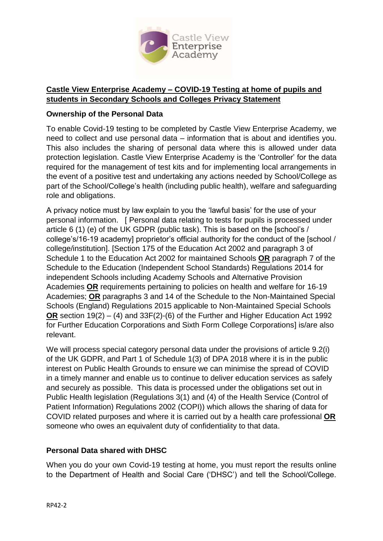

# **Castle View Enterprise Academy – COVID-19 Testing at home of pupils and students in Secondary Schools and Colleges Privacy Statement**

## **Ownership of the Personal Data**

To enable Covid-19 testing to be completed by Castle View Enterprise Academy, we need to collect and use personal data – information that is about and identifies you. This also includes the sharing of personal data where this is allowed under data protection legislation. Castle View Enterprise Academy is the 'Controller' for the data required for the management of test kits and for implementing local arrangements in the event of a positive test and undertaking any actions needed by School/College as part of the School/College's health (including public health), welfare and safeguarding role and obligations.

A privacy notice must by law explain to you the 'lawful basis' for the use of your personal information. [ Personal data relating to tests for pupils is processed under article 6 (1) (e) of the UK GDPR (public task). This is based on the [school's / college's/16-19 academy] proprietor's official authority for the conduct of the [school / college/institution]. [Section 175 of the Education Act 2002 and paragraph 3 of Schedule 1 to the Education Act 2002 for maintained Schools **OR** paragraph 7 of the Schedule to the Education (Independent School Standards) Regulations 2014 for independent Schools including Academy Schools and Alternative Provision Academies **OR** requirements pertaining to policies on health and welfare for 16-19 Academies; **OR** paragraphs 3 and 14 of the Schedule to the Non-Maintained Special Schools (England) Regulations 2015 applicable to Non-Maintained Special Schools **OR** section 19(2) – (4) and 33F(2)-(6) of the Further and Higher Education Act 1992 for Further Education Corporations and Sixth Form College Corporations] is/are also relevant.

We will process special category personal data under the provisions of article 9.2(i) of the UK GDPR, and Part 1 of Schedule 1(3) of DPA 2018 where it is in the public interest on Public Health Grounds to ensure we can minimise the spread of COVID in a timely manner and enable us to continue to deliver education services as safely and securely as possible. This data is processed under the obligations set out in Public Health legislation (Regulations 3(1) and (4) of the Health Service (Control of Patient Information) Regulations 2002 (COPI)) which allows the sharing of data for COVID related purposes and where it is carried out by a health care professional **OR** someone who owes an equivalent duty of confidentiality to that data.

# **Personal Data shared with DHSC**

When you do your own Covid-19 testing at home, you must report the results online to the Department of Health and Social Care ('DHSC') and tell the School/College.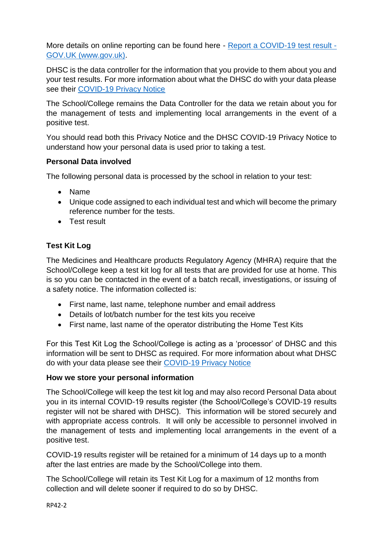More details on online reporting can be found here - [Report a COVID-19 test result -](https://www.gov.uk/report-covid19-result) [GOV.UK \(www.gov.uk\).](https://www.gov.uk/report-covid19-result)

DHSC is the data controller for the information that you provide to them about you and your test results. For more information about what the DHSC do with your data please see their [COVID-19 Privacy Notice](https://www.gov.uk/government/publications/coronavirus-covid-19-testing-privacy-information)

The School/College remains the Data Controller for the data we retain about you for the management of tests and implementing local arrangements in the event of a positive test.

You should read both this Privacy Notice and the DHSC COVID-19 Privacy Notice to understand how your personal data is used prior to taking a test.

## **Personal Data involved**

The following personal data is processed by the school in relation to your test:

- Name
- Unique code assigned to each individual test and which will become the primary reference number for the tests.
- **•** Test result

# **Test Kit Log**

The Medicines and Healthcare products Regulatory Agency (MHRA) require that the School/College keep a test kit log for all tests that are provided for use at home. This is so you can be contacted in the event of a batch recall, investigations, or issuing of a safety notice. The information collected is:

- First name, last name, telephone number and email address
- Details of lot/batch number for the test kits you receive
- First name, last name of the operator distributing the Home Test Kits

For this Test Kit Log the School/College is acting as a 'processor' of DHSC and this information will be sent to DHSC as required. For more information about what DHSC do with your data please see their [COVID-19 Privacy Notice](https://www.gov.uk/government/publications/coronavirus-covid-19-testing-privacy-information)

#### **How we store your personal information**

The School/College will keep the test kit log and may also record Personal Data about you in its internal COVID-19 results register (the School/College's COVID-19 results register will not be shared with DHSC). This information will be stored securely and with appropriate access controls. It will only be accessible to personnel involved in the management of tests and implementing local arrangements in the event of a positive test.

COVID-19 results register will be retained for a minimum of 14 days up to a month after the last entries are made by the School/College into them.

The School/College will retain its Test Kit Log for a maximum of 12 months from collection and will delete sooner if required to do so by DHSC.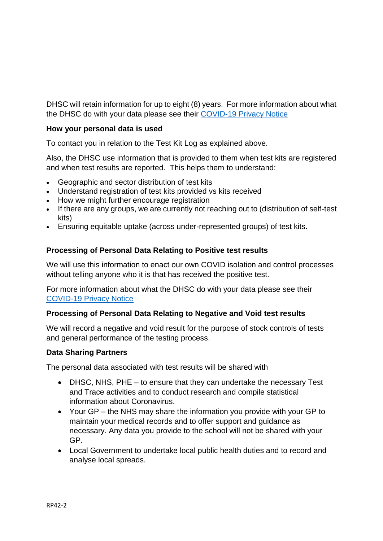DHSC will retain information for up to eight (8) years. For more information about what the DHSC do with your data please see their [COVID-19 Privacy Notice](https://www.gov.uk/government/publications/coronavirus-covid-19-testing-privacy-information)

# **How your personal data is used**

To contact you in relation to the Test Kit Log as explained above.

Also, the DHSC use information that is provided to them when test kits are registered and when test results are reported. This helps them to understand:

- Geographic and sector distribution of test kits
- Understand registration of test kits provided vs kits received
- How we might further encourage registration
- If there are any groups, we are currently not reaching out to (distribution of self-test kits)
- Ensuring equitable uptake (across under-represented groups) of test kits.

## **Processing of Personal Data Relating to Positive test results**

We will use this information to enact our own COVID isolation and control processes without telling anyone who it is that has received the positive test.

For more information about what the DHSC do with your data please see their [COVID-19 Privacy Notice](https://www.gov.uk/government/publications/coronavirus-covid-19-testing-privacy-information)

#### **Processing of Personal Data Relating to Negative and Void test results**

We will record a negative and void result for the purpose of stock controls of tests and general performance of the testing process.

#### **Data Sharing Partners**

The personal data associated with test results will be shared with

- DHSC, NHS, PHE to ensure that they can undertake the necessary Test and Trace activities and to conduct research and compile statistical information about Coronavirus.
- Your GP the NHS may share the information you provide with your GP to maintain your medical records and to offer support and guidance as necessary. Any data you provide to the school will not be shared with your GP.
- Local Government to undertake local public health duties and to record and analyse local spreads.